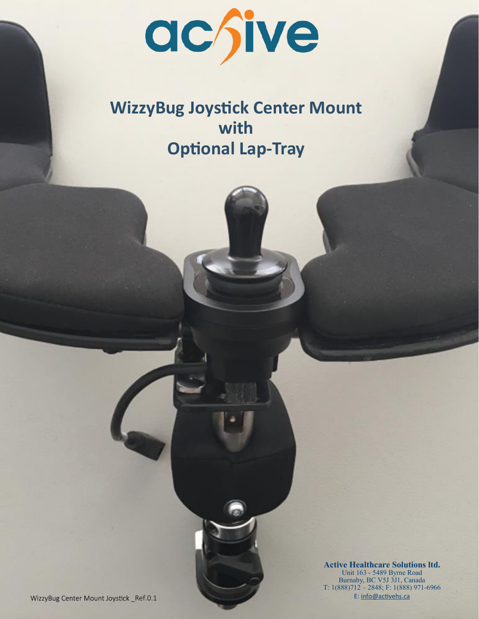

# **WizzyBug Joystick Center Mount with Optional Lap-Tray**

**Active Healthcare Solutions ltd.** Unit 163 - 5489 Byrne Road Burnaby, BC V5J 3J1, Canada T: 1(888)712 – 2848; F: 1(888) 971-6966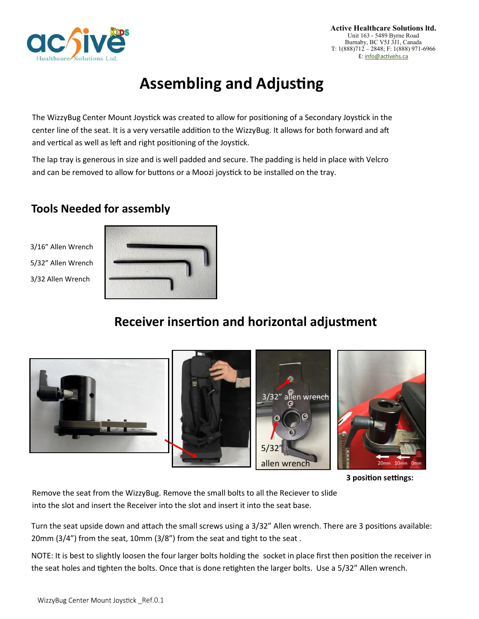

## **Assembling and Adjusting**

The WizzyBug Center Mount Joystick was created to allow for positioning of a Secondary Joystick in the center line of the seat. It is a very versatile addition to the WizzyBug. It allows for both forward and aft and vertical as well as left and right positioning of the Joystick.

The lap tray is generous in size and is well padded and secure. The padding is held in place with Velcro and can be removed to allow for buttons or a Moozi joystick to be installed on the tray.

### **Tools Needed for assembly**

3/16" Allen Wrench 5/32" Allen Wrench 3/32 Allen Wrench



### **Receiver insertion and horizontal adjustment**



**3 position settings:** 

Remove the seat from the WizzyBug. Remove the small bolts to all the Reciever to slide into the slot and insert the Receiver into the slot and insert it into the seat base.

Turn the seat upside down and attach the small screws using a 3/32" Allen wrench. There are 3 positions available: 20mm (3/4") from the seat, 10mm (3/8") from the seat and tight to the seat .

NOTE: It is best to slightly loosen the four larger bolts holding the socket in place first then position the receiver in the seat holes and tighten the bolts. Once that is done retighten the larger bolts. Use a 5/32" Allen wrench.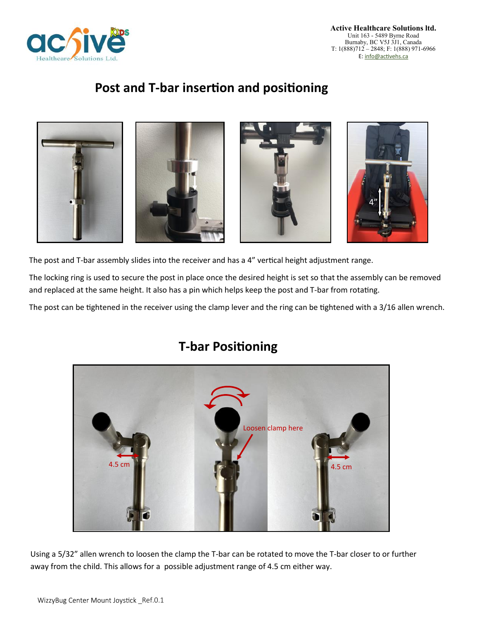

### **Post and T-bar insertion and positioning**



The post and T-bar assembly slides into the receiver and has a 4" vertical height adjustment range.

The locking ring is used to secure the post in place once the desired height is set so that the assembly can be removed and replaced at the same height. It also has a pin which helps keep the post and T-bar from rotating.

The post can be tightened in the receiver using the clamp lever and the ring can be tightened with a 3/16 allen wrench.



### **T-bar Positioning**

Using a 5/32" allen wrench to loosen the clamp the T-bar can be rotated to move the T-bar closer to or further away from the child. This allows for a possible adjustment range of 4.5 cm either way.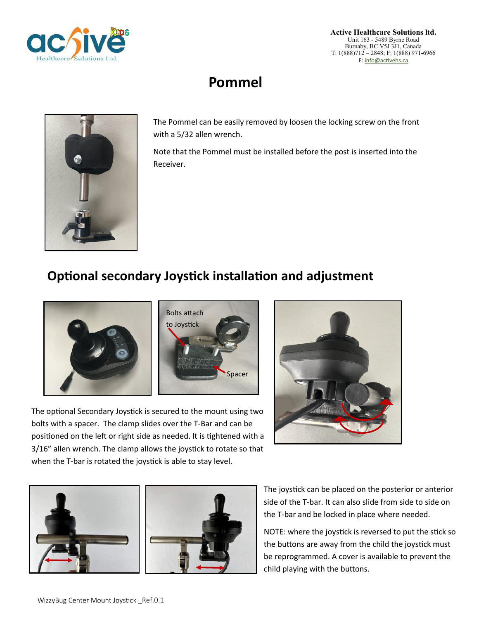

## **Pommel**



The Pommel can be easily removed by loosen the locking screw on the front with a 5/32 allen wrench.

Note that the Pommel must be installed before the post is inserted into the Receiver.

## **Optional secondary Joystick installation and adjustment**





The optional Secondary Joystick is secured to the mount using two bolts with a spacer. The clamp slides over the T-Bar and can be positioned on the left or right side as needed. It is tightened with a 3/16" allen wrench. The clamp allows the joystick to rotate so that when the T-bar is rotated the joystick is able to stay level.





The joystick can be placed on the posterior or anterior side of the T-bar. It can also slide from side to side on the T-bar and be locked in place where needed.

NOTE: where the joystick is reversed to put the stick so the buttons are away from the child the joystick must be reprogrammed. A cover is available to prevent the child playing with the buttons.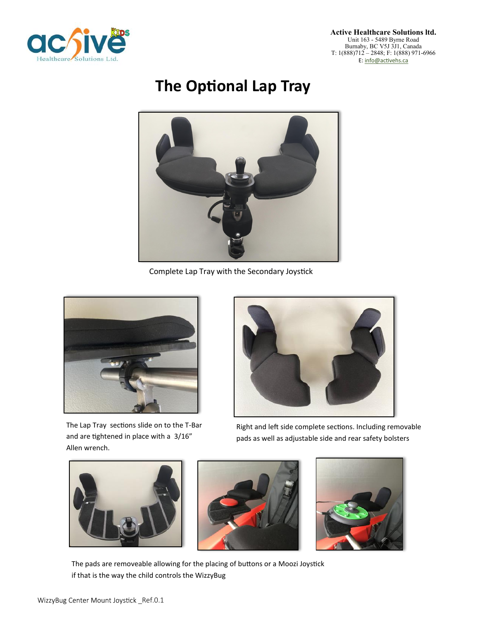

# **The Optional Lap Tray**



Complete Lap Tray with the Secondary Joystick



The Lap Tray sections slide on to the T-Bar and are tightened in place with a 3/16" Allen wrench.



Right and left side complete sections. Including removable pads as well as adjustable side and rear safety bolsters







The pads are removeable allowing for the placing of buttons or a Moozi Joystick if that is the way the child controls the WizzyBug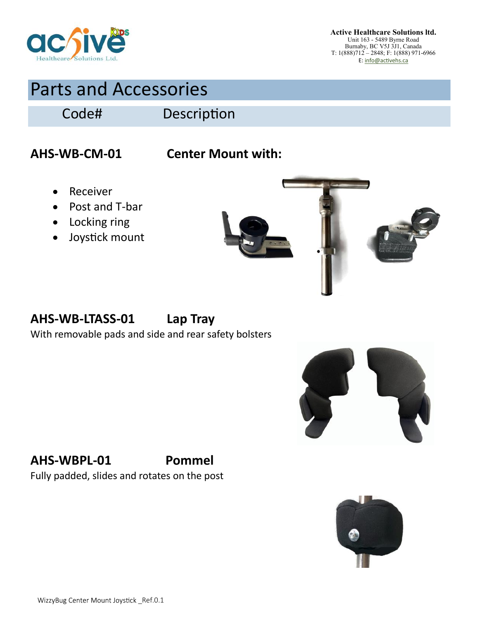

# Parts and Accessories

Code# Description

## **AHS-WB-CM-01 Center Mount with:**

- Receiver
- Post and T-bar
- Locking ring
- Joystick mount



## **AHS-WB-LTASS-01 Lap Tray**

With removable pads and side and rear safety bolsters



### **AHS-WBPL-01 Pommel**

Fully padded, slides and rotates on the post